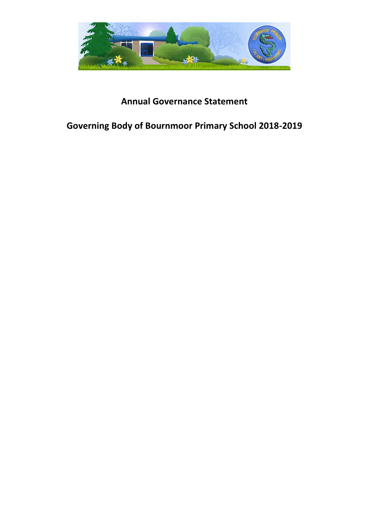

# **Annual Governance Statement**

# **Governing Body of Bournmoor Primary School 2018-2019**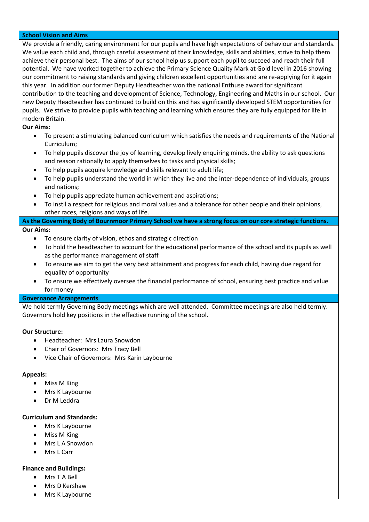#### **School Vision and Aims**

We provide a friendly, caring environment for our pupils and have high expectations of behaviour and standards. We value each child and, through careful assessment of their knowledge, skills and abilities, strive to help them achieve their personal best. The aims of our school help us support each pupil to succeed and reach their full potential. We have worked together to achieve the Primary Science Quality Mark at Gold level in 2016 showing our commitment to raising standards and giving children excellent opportunities and are re-applying for it again this year. In addition our former Deputy Headteacher won the national Enthuse award for significant contribution to the teaching and development of Science, Technology, Engineering and Maths in our school. Our new Deputy Headteacher has continued to build on this and has significantly developed STEM opportunities for pupils. We strive to provide pupils with teaching and learning which ensures they are fully equipped for life in modern Britain.

# **Our Aims:**

- To present a stimulating balanced curriculum which satisfies the needs and requirements of the National Curriculum;
- To help pupils discover the joy of learning, develop lively enquiring minds, the ability to ask questions and reason rationally to apply themselves to tasks and physical skills;
- To help pupils acquire knowledge and skills relevant to adult life;
- To help pupils understand the world in which they live and the inter-dependence of individuals, groups and nations;
- To help pupils appreciate human achievement and aspirations;
- To instil a respect for religious and moral values and a tolerance for other people and their opinions, other races, religions and ways of life.

## **As the Governing Body of Bournmoor Primary School we have a strong focus on our core strategic functions. Our Aims:**

- To ensure clarity of vision, ethos and strategic direction
- To hold the headteacher to account for the educational performance of the school and its pupils as well as the performance management of staff
- To ensure we aim to get the very best attainment and progress for each child, having due regard for equality of opportunity
- To ensure we effectively oversee the financial performance of school, ensuring best practice and value for money

# **Governance Arrangements**

We hold termly Governing Body meetings which are well attended. Committee meetings are also held termly. Governors hold key positions in the effective running of the school.

# **Our Structure:**

- Headteacher: Mrs Laura Snowdon
- Chair of Governors: Mrs Tracy Bell
- Vice Chair of Governors: Mrs Karin Laybourne

#### **Appeals:**

- Miss M King
- Mrs K Laybourne
- Dr M Leddra

#### **Curriculum and Standards:**

- Mrs K Laybourne
- Miss M King
- Mrs L A Snowdon
- Mrs L Carr

#### **Finance and Buildings:**

- Mrs T A Bell
- Mrs D Kershaw
- Mrs K Laybourne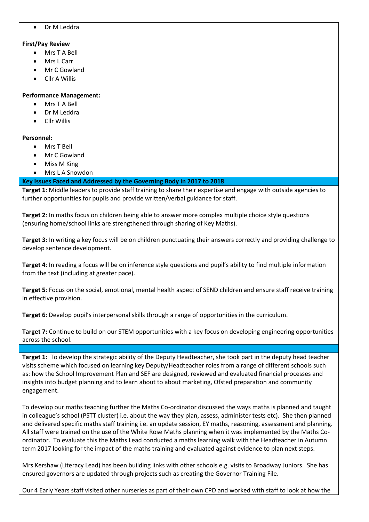Dr M Leddra

## **First/Pay Review**

- Mrs T A Bell
- Mrs L Carr
- Mr C Gowland
- Cllr A Willis

## **Performance Management:**

- Mrs T A Bell
- Dr M Leddra
- Cllr Willis

## **Personnel:**

- Mrs T Bell
- Mr C Gowland
- Miss M King
- Mrs L A Snowdon

## **Key Issues Faced and Addressed by the Governing Body in 2017 to 2018**

**Target 1**: Middle leaders to provide staff training to share their expertise and engage with outside agencies to further opportunities for pupils and provide written/verbal guidance for staff.

**Target 2**: In maths focus on children being able to answer more complex multiple choice style questions (ensuring home/school links are strengthened through sharing of Key Maths).

**Target 3:** In writing a key focus will be on children punctuating their answers correctly and providing challenge to develop sentence development.

**Target 4**: In reading a focus will be on inference style questions and pupil's ability to find multiple information from the text (including at greater pace).

**Target 5**: Focus on the social, emotional, mental health aspect of SEND children and ensure staff receive training in effective provision.

**Target 6**: Develop pupil's interpersonal skills through a range of opportunities in the curriculum.

**Target 7:** Continue to build on our STEM opportunities with a key focus on developing engineering opportunities across the school.

**Target 1:** To develop the strategic ability of the Deputy Headteacher, she took part in the deputy head teacher visits scheme which focused on learning key Deputy/Headteacher roles from a range of different schools such as: how the School Improvement Plan and SEF are designed, reviewed and evaluated financial processes and insights into budget planning and to learn about to about marketing, Ofsted preparation and community engagement.

To develop our maths teaching further the Maths Co-ordinator discussed the ways maths is planned and taught in colleague's school (PSTT cluster) i.e. about the way they plan, assess, administer tests etc). She then planned and delivered specific maths staff training i.e. an update session, EY maths, reasoning, assessment and planning. All staff were trained on the use of the White Rose Maths planning when it was implemented by the Maths Coordinator. To evaluate this the Maths Lead conducted a maths learning walk with the Headteacher in Autumn term 2017 looking for the impact of the maths training and evaluated against evidence to plan next steps.

Mrs Kershaw (Literacy Lead) has been building links with other schools e.g. visits to Broadway Juniors. She has ensured governors are updated through projects such as creating the Governor Training File.

Our 4 Early Years staff visited other nurseries as part of their own CPD and worked with staff to look at how the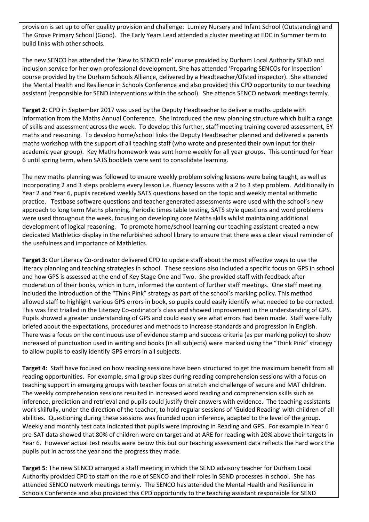provision is set up to offer quality provision and challenge: Lumley Nursery and Infant School (Outstanding) and The Grove Primary School (Good). The Early Years Lead attended a cluster meeting at EDC in Summer term to build links with other schools.

The new SENCO has attended the 'New to SENCO role' course provided by Durham Local Authority SEND and inclusion service for her own professional development. She has attended 'Preparing SENCOs for Inspection' course provided by the Durham Schools Alliance, delivered by a Headteacher/Ofsted inspector). She attended the Mental Health and Resilience in Schools Conference and also provided this CPD opportunity to our teaching assistant (responsible for SEND interventions within the school). She attends SENCO network meetings termly.

**Target 2**: CPD in September 2017 was used by the Deputy Headteacher to deliver a maths update with information from the Maths Annual Conference. She introduced the new planning structure which built a range of skills and assessment across the week. To develop this further, staff meeting training covered assessment, EY maths and reasoning. To develop home/school links the Deputy Headteacher planned and delivered a parents maths workshop with the support of all teaching staff (who wrote and presented their own input for their academic year group). Key Maths homework was sent home weekly for all year groups. This continued for Year 6 until spring term, when SATS booklets were sent to consolidate learning.

The new maths planning was followed to ensure weekly problem solving lessons were being taught, as well as incorporating 2 and 3 steps problems every lesson i.e. fluency lessons with a 2 to 3 step problem. Additionally in Year 2 and Year 6, pupils received weekly SATS questions based on the topic and weekly mental arithmetic practice. Testbase software questions and teacher generated assessments were used with the school's new approach to long term Maths planning. Periodic times table testing, SATS style questions and word problems were used throughout the week, focusing on developing core Maths skills whilst maintaining additional development of logical reasoning. To promote home/school learning our teaching assistant created a new dedicated Mathletics display in the refurbished school library to ensure that there was a clear visual reminder of the usefulness and importance of Mathletics.

**Target 3:** Our Literacy Co-ordinator delivered CPD to update staff about the most effective ways to use the literacy planning and teaching strategies in school. These sessions also included a specific focus on GPS in school and how GPS is assessed at the end of Key Stage One and Two. She provided staff with feedback after moderation of their books, which in turn, informed the content of further staff meetings. One staff meeting included the introduction of the "Think Pink" strategy as part of the school's marking policy. This method allowed staff to highlight various GPS errors in book, so pupils could easily identify what needed to be corrected. This was first trialled in the Literacy Co-ordinator's class and showed improvement in the understanding of GPS. Pupils showed a greater understanding of GPS and could easily see what errors had been made. Staff were fully briefed about the expectations, procedures and methods to increase standards and progression in English. There was a focus on the continuous use of evidence stamp and success criteria (as per marking policy) to show increased of punctuation used in writing and books (in all subjects) were marked using the "Think Pink" strategy to allow pupils to easily identify GPS errors in all subjects.

**Target 4:** Staff have focused on how reading sessions have been structured to get the maximum benefit from all reading opportunities. For example, small group sizes during reading comprehension sessions with a focus on teaching support in emerging groups with teacher focus on stretch and challenge of secure and MAT children. The weekly comprehension sessions resulted in increased word reading and comprehension skills such as inference, prediction and retrieval and pupils could justify their answers with evidence. The teaching assistants work skilfully, under the direction of the teacher, to hold regular sessions of 'Guided Reading' with children of all abilities. Questioning during these sessions was founded upon inference, adapted to the level of the group. Weekly and monthly test data indicated that pupils were improving in Reading and GPS. For example in Year 6 pre-SAT data showed that 80% of children were on target and at ARE for reading with 20% above their targets in Year 6. However actual test results were below this but our teaching assessment data reflects the hard work the pupils put in across the year and the progress they made.

**Target 5**: The new SENCO arranged a staff meeting in which the SEND advisory teacher for Durham Local Authority provided CPD to staff on the role of SENCO and their roles in SEND processes in school. She has attended SENCO network meetings termly. The SENCO has attended the Mental Health and Resilience in Schools Conference and also provided this CPD opportunity to the teaching assistant responsible for SEND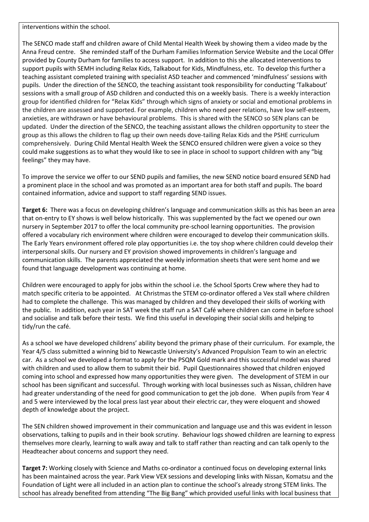interventions within the school.

The SENCO made staff and children aware of Child Mental Health Week by showing them a video made by the Anna Freud centre. She reminded staff of the Durham Families Information Service Website and the Local Offer provided by County Durham for families to access support. In addition to this she allocated interventions to support pupils with SEMH including Relax Kids, Talkabout for Kids, Mindfulness, etc. To develop this further a teaching assistant completed training with specialist ASD teacher and commenced 'mindfulness' sessions with pupils. Under the direction of the SENCO, the teaching assistant took responsibility for conducting 'Talkabout' sessions with a small group of ASD children and conducted this on a weekly basis. There is a weekly interaction group for identified children for "Relax Kids" through which signs of anxiety or social and emotional problems in the children are assessed and supported. For example, children who need peer relations, have low self-esteem, anxieties, are withdrawn or have behavioural problems. This is shared with the SENCO so SEN plans can be updated. Under the direction of the SENCO, the teaching assistant allows the children opportunity to steer the group as this allows the children to flag up their own needs dove-tailing Relax Kids and the PSHE curriculum comprehensively. During Child Mental Health Week the SENCO ensured children were given a voice so they could make suggestions as to what they would like to see in place in school to support children with any "big feelings" they may have.

To improve the service we offer to our SEND pupils and families, the new SEND notice board ensured SEND had a prominent place in the school and was promoted as an important area for both staff and pupils. The board contained information, advice and support to staff regarding SEND issues.

**Target 6:** There was a focus on developing children's language and communication skills as this has been an area that on-entry to EY shows is well below historically. This was supplemented by the fact we opened our own nursery in September 2017 to offer the local community pre-school learning opportunities. The provision offered a vocabulary rich environment where children were encouraged to develop their communication skills. The Early Years environment offered role play opportunities i.e. the toy shop where children could develop their interpersonal skills. Our nursery and EY provision showed improvements in children's language and communication skills. The parents appreciated the weekly information sheets that were sent home and we found that language development was continuing at home.

Children were encouraged to apply for jobs within the school i.e. the School Sports Crew where they had to match specific criteria to be appointed. At Christmas the STEM co-ordinator offered a Vex stall where children had to complete the challenge. This was managed by children and they developed their skills of working with the public. In addition, each year in SAT week the staff run a SAT Café where children can come in before school and socialise and talk before their tests. We find this useful in developing their social skills and helping to tidy/run the café.

As a school we have developed childrens' ability beyond the primary phase of their curriculum. For example, the Year 4/5 class submitted a winning bid to Newcastle University's Advanced Propulsion Team to win an electric car. As a school we developed a format to apply for the PSQM Gold mark and this successful model was shared with children and used to allow them to submit their bid. Pupil Questionnaires showed that children enjoyed coming into school and expressed how many opportunities they were given. The development of STEM in our school has been significant and successful. Through working with local businesses such as Nissan, children have had greater understanding of the need for good communication to get the job done. When pupils from Year 4 and 5 were interviewed by the local press last year about their electric car, they were eloquent and showed depth of knowledge about the project.

The SEN children showed improvement in their communication and language use and this was evident in lesson observations, talking to pupils and in their book scrutiny. Behaviour logs showed children are learning to express themselves more clearly, learning to walk away and talk to staff rather than reacting and can talk openly to the Headteacher about concerns and support they need.

**Target 7:** Working closely with Science and Maths co-ordinator a continued focus on developing external links has been maintained across the year. Park View VEX sessions and developing links with Nissan, Komatsu and the Foundation of Light were all included in an action plan to continue the school's already strong STEM links. The school has already benefited from attending "The Big Bang" which provided useful links with local business that